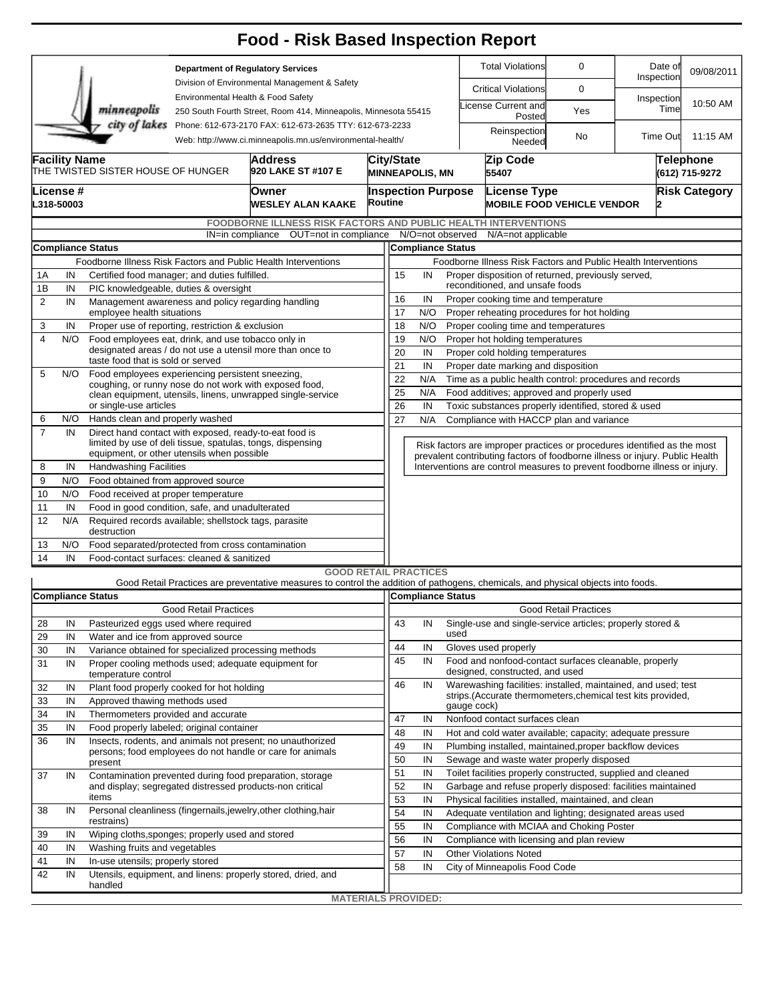|                          |                                                                                                                       |                                                                                                |                                                                                           | <b>Food - Risk Based Inspection Report</b>                                                                                        |                                                                      |                                                                                                   |                          |                                                                                                |                                                                            |                                                                           |                                                                              |                    |            |                                    |  |  |  |
|--------------------------|-----------------------------------------------------------------------------------------------------------------------|------------------------------------------------------------------------------------------------|-------------------------------------------------------------------------------------------|-----------------------------------------------------------------------------------------------------------------------------------|----------------------------------------------------------------------|---------------------------------------------------------------------------------------------------|--------------------------|------------------------------------------------------------------------------------------------|----------------------------------------------------------------------------|---------------------------------------------------------------------------|------------------------------------------------------------------------------|--------------------|------------|------------------------------------|--|--|--|
|                          |                                                                                                                       |                                                                                                | <b>Department of Regulatory Services</b><br>Division of Environmental Management & Safety |                                                                                                                                   |                                                                      |                                                                                                   |                          |                                                                                                | <b>Total Violations</b>                                                    | 0                                                                         | Inspection                                                                   | Date of            | 09/08/2011 |                                    |  |  |  |
|                          |                                                                                                                       |                                                                                                | Environmental Health & Food Safety                                                        |                                                                                                                                   |                                                                      |                                                                                                   |                          |                                                                                                | <b>Critical Violations</b>                                                 | 0                                                                         |                                                                              |                    |            |                                    |  |  |  |
|                          |                                                                                                                       | minneapolis                                                                                    |                                                                                           | 250 South Fourth Street, Room 414, Minneapolis, Minnesota 55415                                                                   |                                                                      |                                                                                                   |                          |                                                                                                |                                                                            | icense Current and<br>Posted                                              | Yes                                                                          | Inspection<br>Time |            | 10:50 AM                           |  |  |  |
|                          |                                                                                                                       | city of lakes                                                                                  |                                                                                           | Phone: 612-673-2170 FAX: 612-673-2635 TTY: 612-673-2233<br>Web: http://www.ci.minneapolis.mn.us/environmental-health/             |                                                                      |                                                                                                   |                          |                                                                                                |                                                                            | Reinspection<br>Needed                                                    | No                                                                           | <b>Time Out</b>    |            | 11:15 AM                           |  |  |  |
|                          | <b>Facility Name</b>                                                                                                  | THE TWISTED SISTER HOUSE OF HUNGER                                                             |                                                                                           | Address<br>920 LAKE ST #107 E                                                                                                     |                                                                      | <b>City/State</b>                                                                                 | <b>MINNEAPOLIS, MN</b>   |                                                                                                |                                                                            | Zip Code<br>55407                                                         |                                                                              |                    |            | <b>Telephone</b><br>(612) 715-9272 |  |  |  |
| License #<br>L318-50003  |                                                                                                                       |                                                                                                |                                                                                           | Owner<br>WESLEY ALAN KAAKE                                                                                                        |                                                                      | <b>Inspection Purpose</b><br><b>Routine</b>                                                       |                          |                                                                                                |                                                                            | License Type<br><b>Risk Category</b><br><b>MOBILE FOOD VEHICLE VENDOR</b> |                                                                              |                    |            |                                    |  |  |  |
|                          |                                                                                                                       |                                                                                                |                                                                                           | FOODBORNE ILLNESS RISK FACTORS AND PUBLIC HEALTH INTERVENTIONS                                                                    |                                                                      |                                                                                                   |                          |                                                                                                |                                                                            |                                                                           |                                                                              |                    |            |                                    |  |  |  |
|                          |                                                                                                                       |                                                                                                | IN=in compliance                                                                          | OUT=not in compliance N/O=not observed                                                                                            |                                                                      |                                                                                                   |                          |                                                                                                |                                                                            | N/A=not applicable                                                        |                                                                              |                    |            |                                    |  |  |  |
| <b>Compliance Status</b> |                                                                                                                       |                                                                                                |                                                                                           |                                                                                                                                   |                                                                      |                                                                                                   | <b>Compliance Status</b> |                                                                                                |                                                                            |                                                                           |                                                                              |                    |            |                                    |  |  |  |
|                          |                                                                                                                       |                                                                                                |                                                                                           | Foodborne Illness Risk Factors and Public Health Interventions                                                                    |                                                                      | Foodborne Illness Risk Factors and Public Health Interventions                                    |                          |                                                                                                |                                                                            |                                                                           |                                                                              |                    |            |                                    |  |  |  |
| 1A                       | IN                                                                                                                    | Certified food manager; and duties fulfilled.                                                  |                                                                                           |                                                                                                                                   |                                                                      | 15<br>Proper disposition of returned, previously served,<br>IN<br>reconditioned, and unsafe foods |                          |                                                                                                |                                                                            |                                                                           |                                                                              |                    |            |                                    |  |  |  |
| 1B<br>$\overline{2}$     | IN<br>IN                                                                                                              | PIC knowledgeable, duties & oversight<br>Management awareness and policy regarding handling    |                                                                                           | 16<br>IN<br>Proper cooking time and temperature                                                                                   |                                                                      |                                                                                                   |                          |                                                                                                |                                                                            |                                                                           |                                                                              |                    |            |                                    |  |  |  |
|                          |                                                                                                                       | employee health situations                                                                     |                                                                                           |                                                                                                                                   |                                                                      | 17<br>N/O<br>Proper reheating procedures for hot holding                                          |                          |                                                                                                |                                                                            |                                                                           |                                                                              |                    |            |                                    |  |  |  |
| 3                        | IN                                                                                                                    | Proper use of reporting, restriction & exclusion                                               |                                                                                           |                                                                                                                                   |                                                                      | 18<br>N/O<br>Proper cooling time and temperatures                                                 |                          |                                                                                                |                                                                            |                                                                           |                                                                              |                    |            |                                    |  |  |  |
| 4                        | N/O                                                                                                                   | Food employees eat, drink, and use tobacco only in                                             |                                                                                           | 19<br>N/O<br>Proper hot holding temperatures                                                                                      |                                                                      |                                                                                                   |                          |                                                                                                |                                                                            |                                                                           |                                                                              |                    |            |                                    |  |  |  |
|                          |                                                                                                                       | designated areas / do not use a utensil more than once to<br>taste food that is sold or served |                                                                                           | 20                                                                                                                                | IN<br>Proper cold holding temperatures                               |                                                                                                   |                          |                                                                                                |                                                                            |                                                                           |                                                                              |                    |            |                                    |  |  |  |
| 5                        | N/O                                                                                                                   | Food employees experiencing persistent sneezing,                                               |                                                                                           | 21                                                                                                                                | IN<br>Proper date marking and disposition                            |                                                                                                   |                          |                                                                                                |                                                                            |                                                                           |                                                                              |                    |            |                                    |  |  |  |
|                          |                                                                                                                       | coughing, or runny nose do not work with exposed food,                                         |                                                                                           |                                                                                                                                   | 22<br>N/A<br>Time as a public health control: procedures and records |                                                                                                   |                          |                                                                                                |                                                                            |                                                                           |                                                                              |                    |            |                                    |  |  |  |
|                          |                                                                                                                       | clean equipment, utensils, linens, unwrapped single-service                                    |                                                                                           | 25                                                                                                                                | N/A                                                                  | Food additives; approved and properly used                                                        |                          |                                                                                                |                                                                            |                                                                           |                                                                              |                    |            |                                    |  |  |  |
| 6                        | N/O                                                                                                                   | or single-use articles<br>Hands clean and properly washed                                      |                                                                                           |                                                                                                                                   |                                                                      | 26<br>27                                                                                          | IN<br>N/A                | Toxic substances properly identified, stored & used<br>Compliance with HACCP plan and variance |                                                                            |                                                                           |                                                                              |                    |            |                                    |  |  |  |
| $\overline{7}$           | IN                                                                                                                    | Direct hand contact with exposed, ready-to-eat food is                                         |                                                                                           |                                                                                                                                   |                                                                      |                                                                                                   |                          |                                                                                                |                                                                            |                                                                           |                                                                              |                    |            |                                    |  |  |  |
|                          |                                                                                                                       | limited by use of deli tissue, spatulas, tongs, dispensing                                     |                                                                                           |                                                                                                                                   |                                                                      |                                                                                                   |                          |                                                                                                |                                                                            |                                                                           | Risk factors are improper practices or procedures identified as the most     |                    |            |                                    |  |  |  |
|                          |                                                                                                                       | equipment, or other utensils when possible                                                     |                                                                                           |                                                                                                                                   |                                                                      |                                                                                                   |                          |                                                                                                |                                                                            |                                                                           | prevalent contributing factors of foodborne illness or injury. Public Health |                    |            |                                    |  |  |  |
| 8                        | IN                                                                                                                    | <b>Handwashing Facilities</b>                                                                  |                                                                                           |                                                                                                                                   |                                                                      |                                                                                                   |                          |                                                                                                | Interventions are control measures to prevent foodborne illness or injury. |                                                                           |                                                                              |                    |            |                                    |  |  |  |
| 9                        | N/O                                                                                                                   | Food obtained from approved source                                                             |                                                                                           |                                                                                                                                   |                                                                      |                                                                                                   |                          |                                                                                                |                                                                            |                                                                           |                                                                              |                    |            |                                    |  |  |  |
| 10                       | N/O                                                                                                                   | Food received at proper temperature                                                            |                                                                                           |                                                                                                                                   |                                                                      |                                                                                                   |                          |                                                                                                |                                                                            |                                                                           |                                                                              |                    |            |                                    |  |  |  |
| 11<br>12                 | Food in good condition, safe, and unadulterated<br>IN<br>N/A<br>Required records available; shellstock tags, parasite |                                                                                                |                                                                                           |                                                                                                                                   |                                                                      |                                                                                                   |                          |                                                                                                |                                                                            |                                                                           |                                                                              |                    |            |                                    |  |  |  |
| 13                       | N/O                                                                                                                   | destruction<br>Food separated/protected from cross contamination                               |                                                                                           |                                                                                                                                   |                                                                      |                                                                                                   |                          |                                                                                                |                                                                            |                                                                           |                                                                              |                    |            |                                    |  |  |  |
| 14                       | IN                                                                                                                    | Food-contact surfaces: cleaned & sanitized                                                     |                                                                                           |                                                                                                                                   |                                                                      |                                                                                                   |                          |                                                                                                |                                                                            |                                                                           |                                                                              |                    |            |                                    |  |  |  |
|                          |                                                                                                                       |                                                                                                |                                                                                           | <b>GOOD RETAIL PRACTICES</b>                                                                                                      |                                                                      |                                                                                                   |                          |                                                                                                |                                                                            |                                                                           |                                                                              |                    |            |                                    |  |  |  |
|                          |                                                                                                                       |                                                                                                |                                                                                           | Good Retail Practices are preventative measures to control the addition of pathogens, chemicals, and physical objects into foods. |                                                                      |                                                                                                   |                          |                                                                                                |                                                                            |                                                                           |                                                                              |                    |            |                                    |  |  |  |
|                          |                                                                                                                       | <b>Compliance Status</b>                                                                       |                                                                                           |                                                                                                                                   |                                                                      |                                                                                                   | Compliance Status        |                                                                                                |                                                                            |                                                                           |                                                                              |                    |            |                                    |  |  |  |
|                          |                                                                                                                       |                                                                                                | <b>Good Retail Practices</b>                                                              |                                                                                                                                   |                                                                      |                                                                                                   |                          |                                                                                                |                                                                            |                                                                           | <b>Good Retail Practices</b>                                                 |                    |            |                                    |  |  |  |
| 28                       | IN                                                                                                                    | Pasteurized eggs used where required                                                           |                                                                                           |                                                                                                                                   |                                                                      | 43                                                                                                | IN                       | used                                                                                           |                                                                            |                                                                           | Single-use and single-service articles; properly stored &                    |                    |            |                                    |  |  |  |
| 29                       | IN                                                                                                                    | Water and ice from approved source                                                             |                                                                                           |                                                                                                                                   |                                                                      | 44                                                                                                | IN                       |                                                                                                |                                                                            | Gloves used properly                                                      |                                                                              |                    |            |                                    |  |  |  |
| 30                       | IN<br>IN                                                                                                              | Variance obtained for specialized processing methods                                           |                                                                                           |                                                                                                                                   | 45                                                                   | IN                                                                                                |                          |                                                                                                |                                                                            | Food and nonfood-contact surfaces cleanable, properly                     |                                                                              |                    |            |                                    |  |  |  |
| 31                       |                                                                                                                       | Proper cooling methods used; adequate equipment for<br>temperature control                     |                                                                                           |                                                                                                                                   |                                                                      |                                                                                                   |                          |                                                                                                |                                                                            | designed, constructed, and used                                           |                                                                              |                    |            |                                    |  |  |  |
| 32                       | IN                                                                                                                    | Plant food properly cooked for hot holding                                                     |                                                                                           |                                                                                                                                   |                                                                      | 46                                                                                                | IN                       |                                                                                                |                                                                            |                                                                           | Warewashing facilities: installed, maintained, and used; test                |                    |            |                                    |  |  |  |
| 33                       | IN                                                                                                                    | Approved thawing methods used                                                                  |                                                                                           |                                                                                                                                   |                                                                      |                                                                                                   |                          |                                                                                                | gauge cock)                                                                |                                                                           | strips. (Accurate thermometers, chemical test kits provided,                 |                    |            |                                    |  |  |  |
| 34                       | IN                                                                                                                    | Thermometers provided and accurate                                                             |                                                                                           |                                                                                                                                   |                                                                      | 47                                                                                                | IN                       |                                                                                                |                                                                            | Nonfood contact surfaces clean                                            |                                                                              |                    |            |                                    |  |  |  |
| 35                       | IN                                                                                                                    | Food properly labeled; original container                                                      |                                                                                           |                                                                                                                                   |                                                                      | 48                                                                                                | IN                       |                                                                                                |                                                                            |                                                                           | Hot and cold water available; capacity; adequate pressure                    |                    |            |                                    |  |  |  |
| 36                       | IN                                                                                                                    |                                                                                                |                                                                                           | Insects, rodents, and animals not present; no unauthorized                                                                        |                                                                      | 49                                                                                                | IN                       |                                                                                                |                                                                            |                                                                           | Plumbing installed, maintained, proper backflow devices                      |                    |            |                                    |  |  |  |
|                          |                                                                                                                       | present                                                                                        |                                                                                           | persons; food employees do not handle or care for animals                                                                         |                                                                      | 50                                                                                                | IN                       |                                                                                                |                                                                            |                                                                           | Sewage and waste water properly disposed                                     |                    |            |                                    |  |  |  |
| 37                       | IN                                                                                                                    | Contamination prevented during food preparation, storage                                       |                                                                                           |                                                                                                                                   |                                                                      | 51                                                                                                | IN                       |                                                                                                |                                                                            |                                                                           | Toilet facilities properly constructed, supplied and cleaned                 |                    |            |                                    |  |  |  |
|                          |                                                                                                                       | and display; segregated distressed products-non critical                                       |                                                                                           |                                                                                                                                   |                                                                      | 52                                                                                                | IN                       |                                                                                                |                                                                            |                                                                           | Garbage and refuse properly disposed: facilities maintained                  |                    |            |                                    |  |  |  |
|                          |                                                                                                                       | items                                                                                          |                                                                                           |                                                                                                                                   |                                                                      | 53                                                                                                | IN                       |                                                                                                |                                                                            |                                                                           | Physical facilities installed, maintained, and clean                         |                    |            |                                    |  |  |  |
| 38                       | IN                                                                                                                    | restrains)                                                                                     |                                                                                           | Personal cleanliness (fingernails, jewelry, other clothing, hair                                                                  |                                                                      | 54                                                                                                | IN                       |                                                                                                |                                                                            |                                                                           | Adequate ventilation and lighting; designated areas used                     |                    |            |                                    |  |  |  |
| 39                       | IN                                                                                                                    | Wiping cloths, sponges; properly used and stored                                               |                                                                                           |                                                                                                                                   |                                                                      | 55                                                                                                | IN                       |                                                                                                |                                                                            |                                                                           | Compliance with MCIAA and Choking Poster                                     |                    |            |                                    |  |  |  |
| 40                       | IN                                                                                                                    | Washing fruits and vegetables                                                                  |                                                                                           |                                                                                                                                   |                                                                      | 56                                                                                                | IN                       |                                                                                                |                                                                            |                                                                           | Compliance with licensing and plan review                                    |                    |            |                                    |  |  |  |
| 41                       | IN                                                                                                                    | In-use utensils; properly stored                                                               |                                                                                           |                                                                                                                                   |                                                                      | 57                                                                                                | IN                       |                                                                                                |                                                                            | <b>Other Violations Noted</b>                                             |                                                                              |                    |            |                                    |  |  |  |
| 42                       | IN                                                                                                                    |                                                                                                |                                                                                           | Utensils, equipment, and linens: properly stored, dried, and                                                                      |                                                                      | 58                                                                                                | IN                       |                                                                                                |                                                                            | City of Minneapolis Food Code                                             |                                                                              |                    |            |                                    |  |  |  |
|                          |                                                                                                                       | handled                                                                                        |                                                                                           |                                                                                                                                   |                                                                      |                                                                                                   |                          |                                                                                                |                                                                            |                                                                           |                                                                              |                    |            |                                    |  |  |  |
|                          |                                                                                                                       |                                                                                                |                                                                                           | <b>MATERIALS PROVIDED:</b>                                                                                                        |                                                                      |                                                                                                   |                          |                                                                                                |                                                                            |                                                                           |                                                                              |                    |            |                                    |  |  |  |